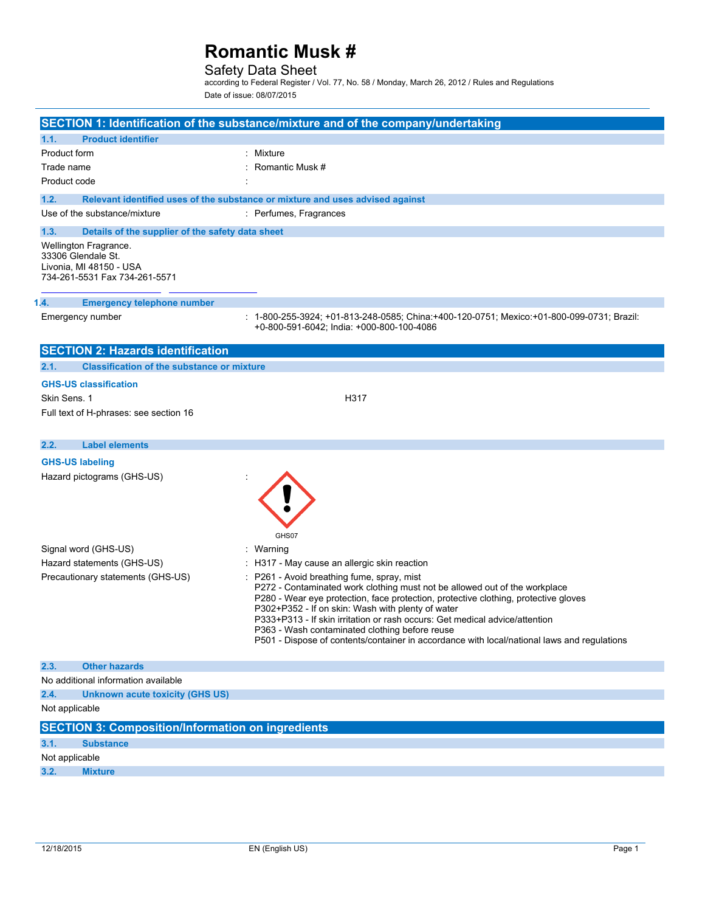# Safety Data Sheet

according to Federal Register / Vol. 77, No. 58 / Monday, March 26, 2012 / Rules and Regulations Date of issue: 08/07/2015

|                                                                                                         | SECTION 1: Identification of the substance/mixture and of the company/undertaking                                                                                                                                                                                                                                                                                                                                                                                                                    |
|---------------------------------------------------------------------------------------------------------|------------------------------------------------------------------------------------------------------------------------------------------------------------------------------------------------------------------------------------------------------------------------------------------------------------------------------------------------------------------------------------------------------------------------------------------------------------------------------------------------------|
| <b>Product identifier</b><br>1.1.                                                                       |                                                                                                                                                                                                                                                                                                                                                                                                                                                                                                      |
| Product form                                                                                            | : Mixture                                                                                                                                                                                                                                                                                                                                                                                                                                                                                            |
| Trade name                                                                                              | Romantic Musk #                                                                                                                                                                                                                                                                                                                                                                                                                                                                                      |
| Product code                                                                                            |                                                                                                                                                                                                                                                                                                                                                                                                                                                                                                      |
| 1.2.                                                                                                    | Relevant identified uses of the substance or mixture and uses advised against                                                                                                                                                                                                                                                                                                                                                                                                                        |
| Use of the substance/mixture                                                                            | : Perfumes, Fragrances                                                                                                                                                                                                                                                                                                                                                                                                                                                                               |
| 1.3.<br>Details of the supplier of the safety data sheet                                                |                                                                                                                                                                                                                                                                                                                                                                                                                                                                                                      |
| Wellington Fragrance.<br>33306 Glendale St.<br>Livonia, MI 48150 - USA<br>734-261-5531 Fax 734-261-5571 |                                                                                                                                                                                                                                                                                                                                                                                                                                                                                                      |
|                                                                                                         |                                                                                                                                                                                                                                                                                                                                                                                                                                                                                                      |
| 1.4.<br><b>Emergency telephone number</b>                                                               |                                                                                                                                                                                                                                                                                                                                                                                                                                                                                                      |
| Emergency number                                                                                        | : 1-800-255-3924; +01-813-248-0585; China:+400-120-0751; Mexico:+01-800-099-0731; Brazil:<br>+0-800-591-6042; India: +000-800-100-4086                                                                                                                                                                                                                                                                                                                                                               |
| <b>SECTION 2: Hazards identification</b>                                                                |                                                                                                                                                                                                                                                                                                                                                                                                                                                                                                      |
| 2.1.<br><b>Classification of the substance or mixture</b>                                               |                                                                                                                                                                                                                                                                                                                                                                                                                                                                                                      |
| <b>GHS-US classification</b>                                                                            |                                                                                                                                                                                                                                                                                                                                                                                                                                                                                                      |
| Skin Sens. 1                                                                                            | H317                                                                                                                                                                                                                                                                                                                                                                                                                                                                                                 |
| Full text of H-phrases: see section 16                                                                  |                                                                                                                                                                                                                                                                                                                                                                                                                                                                                                      |
|                                                                                                         |                                                                                                                                                                                                                                                                                                                                                                                                                                                                                                      |
| <b>Label elements</b><br>2.2.                                                                           |                                                                                                                                                                                                                                                                                                                                                                                                                                                                                                      |
| <b>GHS-US labeling</b>                                                                                  |                                                                                                                                                                                                                                                                                                                                                                                                                                                                                                      |
| Hazard pictograms (GHS-US)                                                                              | GHS07                                                                                                                                                                                                                                                                                                                                                                                                                                                                                                |
| Signal word (GHS-US)                                                                                    | : Warning                                                                                                                                                                                                                                                                                                                                                                                                                                                                                            |
| Hazard statements (GHS-US)                                                                              | : H317 - May cause an allergic skin reaction                                                                                                                                                                                                                                                                                                                                                                                                                                                         |
| Precautionary statements (GHS-US)                                                                       | : P261 - Avoid breathing fume, spray, mist<br>P272 - Contaminated work clothing must not be allowed out of the workplace<br>P280 - Wear eye protection, face protection, protective clothing, protective gloves<br>P302+P352 - If on skin: Wash with plenty of water<br>P333+P313 - If skin irritation or rash occurs: Get medical advice/attention<br>P363 - Wash contaminated clothing before reuse<br>P501 - Dispose of contents/container in accordance with local/national laws and regulations |
| 2.3.<br><b>Other hazards</b>                                                                            |                                                                                                                                                                                                                                                                                                                                                                                                                                                                                                      |
| No additional information available                                                                     |                                                                                                                                                                                                                                                                                                                                                                                                                                                                                                      |
| 2.4.<br><b>Unknown acute toxicity (GHS US)</b>                                                          |                                                                                                                                                                                                                                                                                                                                                                                                                                                                                                      |
| Not applicable                                                                                          |                                                                                                                                                                                                                                                                                                                                                                                                                                                                                                      |
| <b>SECTION 3: Composition/Information on ingredients</b>                                                |                                                                                                                                                                                                                                                                                                                                                                                                                                                                                                      |
| 3.1.<br><b>Substance</b>                                                                                |                                                                                                                                                                                                                                                                                                                                                                                                                                                                                                      |
| Not applicable                                                                                          |                                                                                                                                                                                                                                                                                                                                                                                                                                                                                                      |
| 3.2.<br><b>Mixture</b>                                                                                  |                                                                                                                                                                                                                                                                                                                                                                                                                                                                                                      |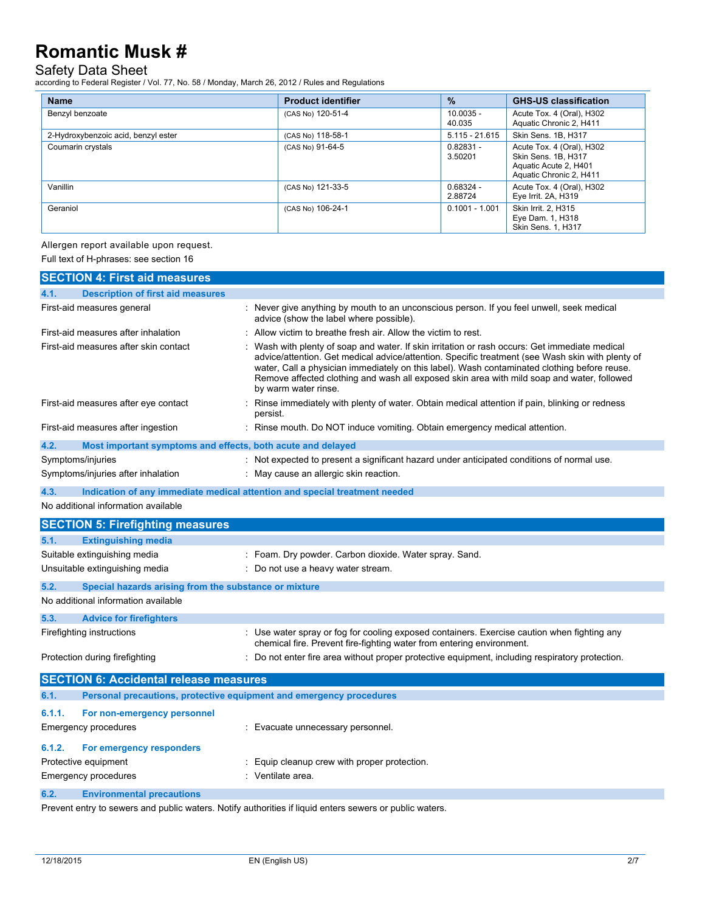# Safety Data Sheet

according to Federal Register / Vol. 77, No. 58 / Monday, March 26, 2012 / Rules and Regulations

| <b>Name</b>                         | <b>Product identifier</b> | $\frac{9}{6}$          | <b>GHS-US classification</b>                                                                         |
|-------------------------------------|---------------------------|------------------------|------------------------------------------------------------------------------------------------------|
| Benzyl benzoate                     | (CAS No) 120-51-4         | $10.0035 -$<br>40.035  | Acute Tox. 4 (Oral), H302<br>Aquatic Chronic 2, H411                                                 |
| 2-Hydroxybenzoic acid, benzyl ester | (CAS No) 118-58-1         | $5.115 - 21.615$       | Skin Sens. 1B, H317                                                                                  |
| Coumarin crystals                   | (CAS No) 91-64-5          | $0.82831 -$<br>3.50201 | Acute Tox. 4 (Oral), H302<br>Skin Sens. 1B, H317<br>Aquatic Acute 2, H401<br>Aquatic Chronic 2, H411 |
| Vanillin                            | (CAS No) 121-33-5         | $0.68324 -$<br>2.88724 | Acute Tox. 4 (Oral), H302<br>Eye Irrit. 2A, H319                                                     |
| Geraniol                            | (CAS No) 106-24-1         | $0.1001 - 1.001$       | Skin Irrit. 2. H315<br>Eye Dam. 1, H318<br>Skin Sens. 1, H317                                        |

Allergen report available upon request.

Full text of H-phrases: see section 16

|                                                                                                                                                                                                   | <b>SECTION 4: First aid measures</b>                                |                                                                                                                                                                                                                                                                                                                                                                                                |
|---------------------------------------------------------------------------------------------------------------------------------------------------------------------------------------------------|---------------------------------------------------------------------|------------------------------------------------------------------------------------------------------------------------------------------------------------------------------------------------------------------------------------------------------------------------------------------------------------------------------------------------------------------------------------------------|
| 4.1.                                                                                                                                                                                              | <b>Description of first aid measures</b>                            |                                                                                                                                                                                                                                                                                                                                                                                                |
| First-aid measures general                                                                                                                                                                        |                                                                     | : Never give anything by mouth to an unconscious person. If you feel unwell, seek medical<br>advice (show the label where possible).                                                                                                                                                                                                                                                           |
| First-aid measures after inhalation                                                                                                                                                               |                                                                     | Allow victim to breathe fresh air. Allow the victim to rest.                                                                                                                                                                                                                                                                                                                                   |
| First-aid measures after skin contact<br>by warm water rinse.                                                                                                                                     |                                                                     | Wash with plenty of soap and water. If skin irritation or rash occurs: Get immediate medical<br>advice/attention. Get medical advice/attention. Specific treatment (see Wash skin with plenty of<br>water, Call a physician immediately on this label). Wash contaminated clothing before reuse.<br>Remove affected clothing and wash all exposed skin area with mild soap and water, followed |
| First-aid measures after eye contact<br>persist.                                                                                                                                                  |                                                                     | Rinse immediately with plenty of water. Obtain medical attention if pain, blinking or redness                                                                                                                                                                                                                                                                                                  |
|                                                                                                                                                                                                   | First-aid measures after ingestion                                  | : Rinse mouth. Do NOT induce vomiting. Obtain emergency medical attention.                                                                                                                                                                                                                                                                                                                     |
| 4.2.                                                                                                                                                                                              | Most important symptoms and effects, both acute and delayed         |                                                                                                                                                                                                                                                                                                                                                                                                |
|                                                                                                                                                                                                   | Symptoms/injuries                                                   | : Not expected to present a significant hazard under anticipated conditions of normal use.                                                                                                                                                                                                                                                                                                     |
|                                                                                                                                                                                                   | Symptoms/injuries after inhalation                                  | : May cause an allergic skin reaction.                                                                                                                                                                                                                                                                                                                                                         |
| 4.3.                                                                                                                                                                                              |                                                                     | Indication of any immediate medical attention and special treatment needed                                                                                                                                                                                                                                                                                                                     |
|                                                                                                                                                                                                   | No additional information available                                 |                                                                                                                                                                                                                                                                                                                                                                                                |
|                                                                                                                                                                                                   | <b>SECTION 5: Firefighting measures</b>                             |                                                                                                                                                                                                                                                                                                                                                                                                |
| 5.1.                                                                                                                                                                                              | <b>Extinguishing media</b>                                          |                                                                                                                                                                                                                                                                                                                                                                                                |
|                                                                                                                                                                                                   | Suitable extinguishing media                                        | : Foam. Dry powder. Carbon dioxide. Water spray. Sand.                                                                                                                                                                                                                                                                                                                                         |
| Unsuitable extinguishing media<br>: Do not use a heavy water stream.                                                                                                                              |                                                                     |                                                                                                                                                                                                                                                                                                                                                                                                |
| 5.2.                                                                                                                                                                                              | Special hazards arising from the substance or mixture               |                                                                                                                                                                                                                                                                                                                                                                                                |
|                                                                                                                                                                                                   | No additional information available                                 |                                                                                                                                                                                                                                                                                                                                                                                                |
| 5.3.                                                                                                                                                                                              | <b>Advice for firefighters</b>                                      |                                                                                                                                                                                                                                                                                                                                                                                                |
| : Use water spray or fog for cooling exposed containers. Exercise caution when fighting any<br>Firefighting instructions<br>chemical fire. Prevent fire-fighting water from entering environment. |                                                                     |                                                                                                                                                                                                                                                                                                                                                                                                |
|                                                                                                                                                                                                   | Protection during firefighting                                      | : Do not enter fire area without proper protective equipment, including respiratory protection.                                                                                                                                                                                                                                                                                                |
|                                                                                                                                                                                                   | <b>SECTION 6: Accidental release measures</b>                       |                                                                                                                                                                                                                                                                                                                                                                                                |
| 6.1.                                                                                                                                                                                              | Personal precautions, protective equipment and emergency procedures |                                                                                                                                                                                                                                                                                                                                                                                                |
| 6.1.1.                                                                                                                                                                                            | For non-emergency personnel                                         |                                                                                                                                                                                                                                                                                                                                                                                                |
|                                                                                                                                                                                                   | Emergency procedures                                                | : Evacuate unnecessary personnel.                                                                                                                                                                                                                                                                                                                                                              |
| 6.1.2.                                                                                                                                                                                            | For emergency responders                                            |                                                                                                                                                                                                                                                                                                                                                                                                |
|                                                                                                                                                                                                   | Protective equipment<br>Equip cleanup crew with proper protection.  |                                                                                                                                                                                                                                                                                                                                                                                                |
| : Ventilate area.<br>Emergency procedures                                                                                                                                                         |                                                                     |                                                                                                                                                                                                                                                                                                                                                                                                |
| 6.2.                                                                                                                                                                                              | <b>Environmental precautions</b>                                    |                                                                                                                                                                                                                                                                                                                                                                                                |

Prevent entry to sewers and public waters. Notify authorities if liquid enters sewers or public waters.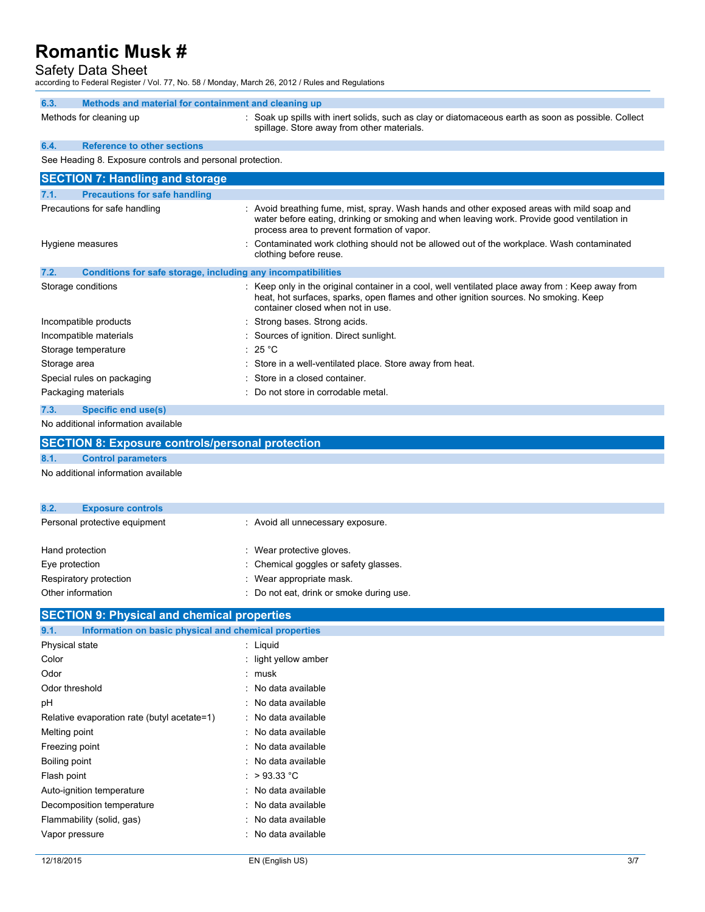# Safety Data Sheet

according to Federal Register / Vol. 77, No. 58 / Monday, March 26, 2012 / Rules and Regulations

| 6.3. | Methods and material for containment and cleaning up      |                                                                                                                                                                                                                                          |
|------|-----------------------------------------------------------|------------------------------------------------------------------------------------------------------------------------------------------------------------------------------------------------------------------------------------------|
|      | Methods for cleaning up                                   | : Soak up spills with inert solids, such as clay or diatomaceous earth as soon as possible. Collect<br>spillage. Store away from other materials.                                                                                        |
| 6.4. | <b>Reference to other sections</b>                        |                                                                                                                                                                                                                                          |
|      | See Heading 8. Exposure controls and personal protection. |                                                                                                                                                                                                                                          |
|      | <b>SECTION 7: Handling and storage</b>                    |                                                                                                                                                                                                                                          |
| 7.1. | <b>Precautions for safe handling</b>                      |                                                                                                                                                                                                                                          |
|      | Precautions for safe handling                             | : Avoid breathing fume, mist, spray. Wash hands and other exposed areas with mild soap and<br>water before eating, drinking or smoking and when leaving work. Provide good ventilation in<br>process area to prevent formation of vapor. |
|      | Hygiene measures                                          | Contaminated work clothing should not be allowed out of the workplace. Wash contaminated<br>clothing before reuse.                                                                                                                       |

| Conditions for safe storage, including any incompatibilities                                                                                                                                                                   |
|--------------------------------------------------------------------------------------------------------------------------------------------------------------------------------------------------------------------------------|
| : Keep only in the original container in a cool, well ventilated place away from : Keep away from<br>heat, hot surfaces, sparks, open flames and other ignition sources. No smoking. Keep<br>container closed when not in use. |
| : Strong bases. Strong acids.                                                                                                                                                                                                  |
| : Sources of ignition. Direct sunlight.                                                                                                                                                                                        |
| : 25 °C                                                                                                                                                                                                                        |
| : Store in a well-ventilated place. Store away from heat.                                                                                                                                                                      |
| : Store in a closed container.                                                                                                                                                                                                 |
| : Do not store in corrodable metal.                                                                                                                                                                                            |
|                                                                                                                                                                                                                                |

### **7.3. Specific end use(s)**

No additional information available

|      | <b>SECTION 8: Exposure controls/personal protection</b> |                                   |
|------|---------------------------------------------------------|-----------------------------------|
| 8.1. | <b>Control parameters</b>                               |                                   |
|      | No additional information available                     |                                   |
| 8.2. | <b>Exposure controls</b>                                |                                   |
|      | Personal protective equipment                           | : Avoid all unnecessary exposure. |
|      | <b>Ilond</b> protootion                                 | . Woor protootive alovee          |

| Hand protection        | : Wear protective gloves.                |
|------------------------|------------------------------------------|
| Eve protection         | : Chemical goggles or safety glasses.    |
| Respiratory protection | $\therefore$ Wear appropriate mask.      |
| Other information      | : Do not eat, drink or smoke during use. |

| <b>SECTION 9: Physical and chemical properties</b>            |                         |  |
|---------------------------------------------------------------|-------------------------|--|
| Information on basic physical and chemical properties<br>9.1. |                         |  |
| Physical state                                                | : Liquid                |  |
| Color                                                         | $:$ light yellow amber  |  |
| Odor                                                          | : musk                  |  |
| Odor threshold                                                | : No data available     |  |
| pH                                                            | : No data available     |  |
| Relative evaporation rate (butyl acetate=1)                   | : No data available     |  |
| Melting point                                                 | : No data available     |  |
| Freezing point                                                | : No data available     |  |
| Boiling point                                                 | : No data available     |  |
| Flash point                                                   | : $>93.33^{\circ}$ C    |  |
| Auto-ignition temperature                                     | : No data available     |  |
| Decomposition temperature                                     | : No data available     |  |
| Flammability (solid, gas)                                     | : No data available     |  |
| Vapor pressure                                                | No data available<br>۰. |  |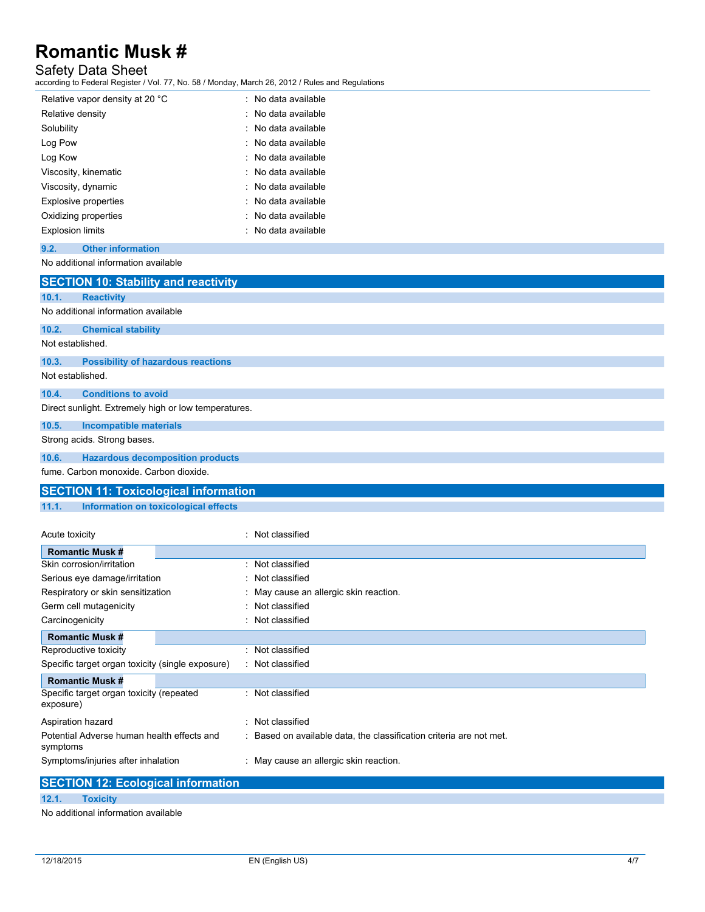# Safety Data Sheet

according to Federal Register / Vol. 77, No. 58 / Monday, March 26, 2012 / Rules and Regulations

| Relative vapor density at 20 °C | : No data available |
|---------------------------------|---------------------|
| Relative density                | : No data available |
| Solubility                      | : No data available |
| Log Pow                         | : No data available |
| Log Kow                         | : No data available |
| Viscosity, kinematic            | : No data available |
| Viscosity, dynamic              | : No data available |
| Explosive properties            | : No data available |
| Oxidizing properties            | : No data available |
| <b>Explosion limits</b>         | : No data available |

# **9.2. Other information**

#### No additional information available

|                  | <b>SECTION 10: Stability and reactivity</b>          |
|------------------|------------------------------------------------------|
| 10.1.            | <b>Reactivity</b>                                    |
|                  | No additional information available                  |
| 10.2.            | <b>Chemical stability</b>                            |
| Not established. |                                                      |
| 10.3.            | <b>Possibility of hazardous reactions</b>            |
| Not established. |                                                      |
| 10.4.            | <b>Conditions to avoid</b>                           |
|                  | Direct sunlight. Extremely high or low temperatures. |
| 10.5.            | <b>Incompatible materials</b>                        |
|                  | Strong acids. Strong bases.                          |
| 10.6.            | <b>Hazardous decomposition products</b>              |
|                  | fume, Carbon monoxide, Carbon dioxide,               |
|                  | <b>SECTION 11: Toxicological information</b>         |

# **11.1. Information on toxicological effects**

| Acute toxicity                                                                                                                                                                                                                                                                                                                                                                                                               | : Not classified                                                    |
|------------------------------------------------------------------------------------------------------------------------------------------------------------------------------------------------------------------------------------------------------------------------------------------------------------------------------------------------------------------------------------------------------------------------------|---------------------------------------------------------------------|
| <b>Romantic Musk #</b>                                                                                                                                                                                                                                                                                                                                                                                                       |                                                                     |
| Skin corrosion/irritation                                                                                                                                                                                                                                                                                                                                                                                                    | : Not classified                                                    |
| Serious eye damage/irritation                                                                                                                                                                                                                                                                                                                                                                                                | : Not classified                                                    |
| Respiratory or skin sensitization                                                                                                                                                                                                                                                                                                                                                                                            | : May cause an allergic skin reaction.                              |
| Germ cell mutagenicity                                                                                                                                                                                                                                                                                                                                                                                                       | : Not classified                                                    |
| Carcinogenicity                                                                                                                                                                                                                                                                                                                                                                                                              | Not classified                                                      |
| <b>Romantic Musk #</b>                                                                                                                                                                                                                                                                                                                                                                                                       |                                                                     |
| Reproductive toxicity                                                                                                                                                                                                                                                                                                                                                                                                        | : Not classified                                                    |
| Specific target organ toxicity (single exposure)                                                                                                                                                                                                                                                                                                                                                                             | : Not classified                                                    |
| <b>Romantic Musk #</b>                                                                                                                                                                                                                                                                                                                                                                                                       |                                                                     |
| Specific target organ toxicity (repeated<br>exposure)                                                                                                                                                                                                                                                                                                                                                                        | : Not classified                                                    |
| Aspiration hazard                                                                                                                                                                                                                                                                                                                                                                                                            | : Not classified                                                    |
| Potential Adverse human health effects and<br>symptoms                                                                                                                                                                                                                                                                                                                                                                       | : Based on available data, the classification criteria are not met. |
| Symptoms/injuries after inhalation                                                                                                                                                                                                                                                                                                                                                                                           | : May cause an allergic skin reaction.                              |
| $\mathbf{A} = \mathbf{A} + \mathbf{A} + \mathbf{A} + \mathbf{A} + \mathbf{A} + \mathbf{A} + \mathbf{A} + \mathbf{A} + \mathbf{A} + \mathbf{A} + \mathbf{A} + \mathbf{A} + \mathbf{A} + \mathbf{A} + \mathbf{A} + \mathbf{A} + \mathbf{A} + \mathbf{A} + \mathbf{A} + \mathbf{A} + \mathbf{A} + \mathbf{A} + \mathbf{A} + \mathbf{A} + \mathbf{A} + \mathbf{A} + \mathbf{A} + \mathbf{A} + \mathbf{A} + \mathbf{A} + \mathbf$ |                                                                     |

|       | <b>SECTION 12: Ecological information</b> |
|-------|-------------------------------------------|
| 12.1. | <b>Foxicity</b>                           |
|       | No additional information available       |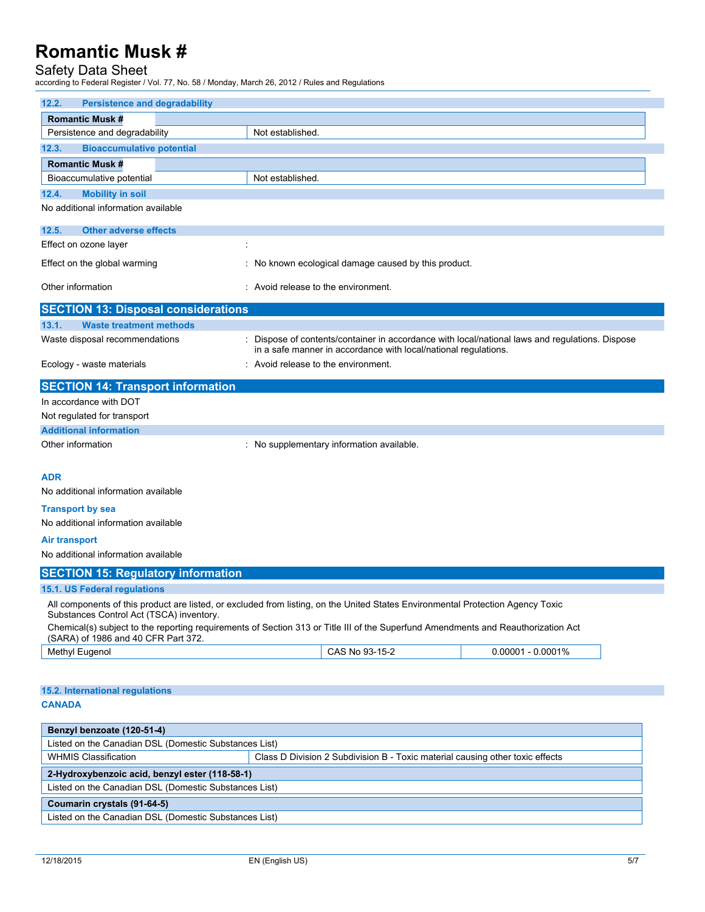# Safety Data Sheet

according to Federal Register / Vol. 77, No. 58 / Monday, March 26, 2012 / Rules and Regulations

| 12.2.<br><b>Persistence and degradability</b>         |                                                                                                                                                                    |  |  |  |
|-------------------------------------------------------|--------------------------------------------------------------------------------------------------------------------------------------------------------------------|--|--|--|
| <b>Romantic Musk#</b>                                 |                                                                                                                                                                    |  |  |  |
| Persistence and degradability                         | Not established.                                                                                                                                                   |  |  |  |
| <b>Bioaccumulative potential</b><br>12.3.             |                                                                                                                                                                    |  |  |  |
| <b>Romantic Musk#</b>                                 |                                                                                                                                                                    |  |  |  |
| Bioaccumulative potential                             | Not established.                                                                                                                                                   |  |  |  |
| <b>Mobility in soil</b><br>12.4.                      |                                                                                                                                                                    |  |  |  |
| No additional information available                   |                                                                                                                                                                    |  |  |  |
| 12.5.<br><b>Other adverse effects</b>                 |                                                                                                                                                                    |  |  |  |
| Effect on ozone layer                                 | $\ddot{\cdot}$                                                                                                                                                     |  |  |  |
| Effect on the global warming                          | : No known ecological damage caused by this product.                                                                                                               |  |  |  |
| Other information                                     | : Avoid release to the environment.                                                                                                                                |  |  |  |
| <b>SECTION 13: Disposal considerations</b>            |                                                                                                                                                                    |  |  |  |
| 13.1.<br><b>Waste treatment methods</b>               |                                                                                                                                                                    |  |  |  |
| Waste disposal recommendations                        | : Dispose of contents/container in accordance with local/national laws and regulations. Dispose<br>in a safe manner in accordance with local/national regulations. |  |  |  |
| Ecology - waste materials                             | : Avoid release to the environment.                                                                                                                                |  |  |  |
| <b>SECTION 14: Transport information</b>              |                                                                                                                                                                    |  |  |  |
| In accordance with DOT                                |                                                                                                                                                                    |  |  |  |
| Not regulated for transport                           |                                                                                                                                                                    |  |  |  |
| <b>Additional information</b>                         |                                                                                                                                                                    |  |  |  |
| Other information                                     | : No supplementary information available.                                                                                                                          |  |  |  |
|                                                       |                                                                                                                                                                    |  |  |  |
| <b>ADR</b>                                            |                                                                                                                                                                    |  |  |  |
| No additional information available                   |                                                                                                                                                                    |  |  |  |
| <b>Transport by sea</b>                               |                                                                                                                                                                    |  |  |  |
| No additional information available                   |                                                                                                                                                                    |  |  |  |
| Air transport                                         |                                                                                                                                                                    |  |  |  |
| No additional information available                   |                                                                                                                                                                    |  |  |  |
| <b>SECTION 15: Regulatory information</b>             |                                                                                                                                                                    |  |  |  |
| 15.1. US Federal regulations                          |                                                                                                                                                                    |  |  |  |
| Substances Control Act (TSCA) inventory.              | All components of this product are listed, or excluded from listing, on the United States Environmental Protection Agency Toxic                                    |  |  |  |
| (SARA) of 1986 and 40 CFR Part 372.                   | Chemical(s) subject to the reporting requirements of Section 313 or Title III of the Superfund Amendments and Reauthorization Act                                  |  |  |  |
| Methyl Eugenol                                        | CAS No 93-15-2<br>$0.00001 - 0.0001\%$                                                                                                                             |  |  |  |
|                                                       |                                                                                                                                                                    |  |  |  |
| 15.2. International regulations                       |                                                                                                                                                                    |  |  |  |
| <b>CANADA</b>                                         |                                                                                                                                                                    |  |  |  |
|                                                       |                                                                                                                                                                    |  |  |  |
| Benzyl benzoate (120-51-4)                            |                                                                                                                                                                    |  |  |  |
| Listed on the Canadian DSL (Domestic Substances List) |                                                                                                                                                                    |  |  |  |
| <b>WHMIS Classification</b>                           | Class D Division 2 Subdivision B - Toxic material causing other toxic effects                                                                                      |  |  |  |
| 2-Hydroxybenzoic acid, benzyl ester (118-58-1)        |                                                                                                                                                                    |  |  |  |
| Listed on the Canadian DSL (Domestic Substances List) |                                                                                                                                                                    |  |  |  |
| Coumarin crystals (91-64-5)                           |                                                                                                                                                                    |  |  |  |

Listed on the Canadian DSL (Domestic Substances List)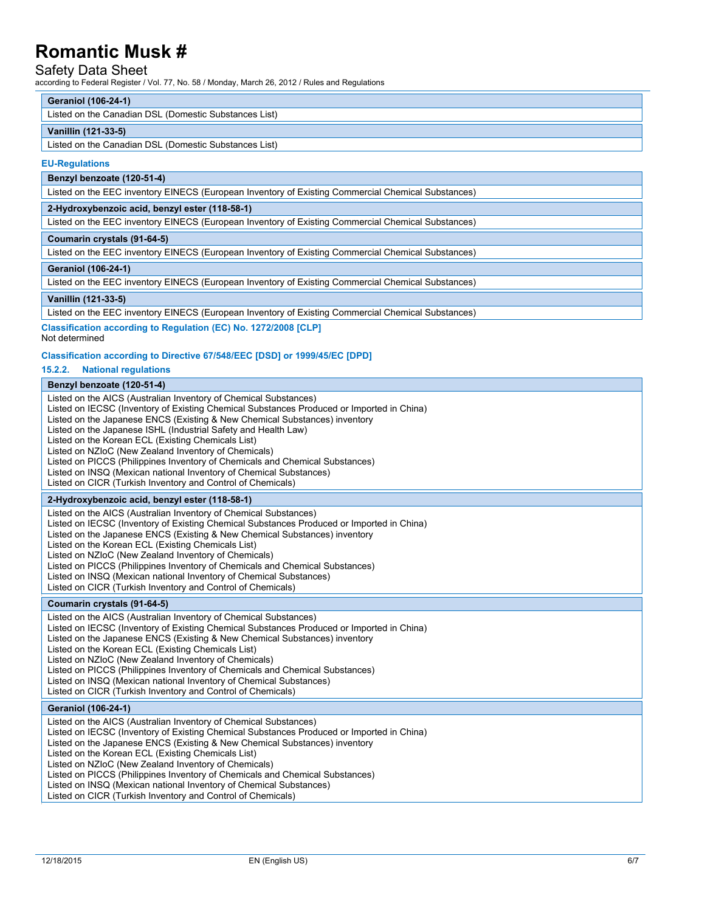### Safety Data Sheet

according to Federal Register / Vol. 77, No. 58 / Monday, March 26, 2012 / Rules and Regulations

#### **Geraniol (106-24-1)**

Listed on the Canadian DSL (Domestic Substances List)

#### **Vanillin (121-33-5)**

Listed on the Canadian DSL (Domestic Substances List)

#### **EU-Regulations**

### **Benzyl benzoate (120-51-4)**

Listed on the EEC inventory EINECS (European Inventory of Existing Commercial Chemical Substances)

### **2-Hydroxybenzoic acid, benzyl ester (118-58-1)**

Listed on the EEC inventory EINECS (European Inventory of Existing Commercial Chemical Substances)

#### **Coumarin crystals (91-64-5)**

Listed on the EEC inventory EINECS (European Inventory of Existing Commercial Chemical Substances)

#### **Geraniol (106-24-1)**

Listed on the EEC inventory EINECS (European Inventory of Existing Commercial Chemical Substances)

#### **Vanillin (121-33-5)**

Listed on the EEC inventory EINECS (European Inventory of Existing Commercial Chemical Substances)

**Classification according to Regulation (EC) No. 1272/2008 [CLP]** Not determined

#### **Classification according to Directive 67/548/EEC [DSD] or 1999/45/EC [DPD]**

### **15.2.2. National regulations**

|  |  | Benzyl benzoate (120-51-4) |
|--|--|----------------------------|
|--|--|----------------------------|

| Listed on the AICS (Australian Inventory of Chemical Substances)<br>Listed on IECSC (Inventory of Existing Chemical Substances Produced or Imported in China)<br>Listed on the Japanese ENCS (Existing & New Chemical Substances) inventory<br>Listed on the Japanese ISHL (Industrial Safety and Health Law)<br>Listed on the Korean ECL (Existing Chemicals List)<br>Listed on NZIoC (New Zealand Inventory of Chemicals)<br>Listed on PICCS (Philippines Inventory of Chemicals and Chemical Substances)<br>Listed on INSQ (Mexican national Inventory of Chemical Substances)<br>Listed on CICR (Turkish Inventory and Control of Chemicals) |
|--------------------------------------------------------------------------------------------------------------------------------------------------------------------------------------------------------------------------------------------------------------------------------------------------------------------------------------------------------------------------------------------------------------------------------------------------------------------------------------------------------------------------------------------------------------------------------------------------------------------------------------------------|
| 2-Hydroxybenzoic acid, benzyl ester (118-58-1)                                                                                                                                                                                                                                                                                                                                                                                                                                                                                                                                                                                                   |
| Listed on the AICS (Australian Inventory of Chemical Substances)<br>Listed on IECSC (Inventory of Existing Chemical Substances Produced or Imported in China)<br>Listed on the Japanese ENCS (Existing & New Chemical Substances) inventory<br>Listed on the Korean ECL (Existing Chemicals List)<br>Listed on NZIoC (New Zealand Inventory of Chemicals)<br>Listed on PICCS (Philippines Inventory of Chemicals and Chemical Substances)<br>Listed on INSQ (Mexican national Inventory of Chemical Substances)<br>Listed on CICR (Turkish Inventory and Control of Chemicals)                                                                   |
| Coumarin crystals (91-64-5)                                                                                                                                                                                                                                                                                                                                                                                                                                                                                                                                                                                                                      |
| Listed on the AICS (Australian Inventory of Chemical Substances)<br>Listed on IECSC (Inventory of Existing Chemical Substances Produced or Imported in China)<br>Listed on the Japanese ENCS (Existing & New Chemical Substances) inventory<br>Listed on the Korean ECL (Existing Chemicals List)<br>Listed on NZIoC (New Zealand Inventory of Chemicals)                                                                                                                                                                                                                                                                                        |
| Listed on PICCS (Philippines Inventory of Chemicals and Chemical Substances)<br>Listed on INSQ (Mexican national Inventory of Chemical Substances)<br>Listed on CICR (Turkish Inventory and Control of Chemicals)                                                                                                                                                                                                                                                                                                                                                                                                                                |
| <b>Geraniol (106-24-1)</b>                                                                                                                                                                                                                                                                                                                                                                                                                                                                                                                                                                                                                       |